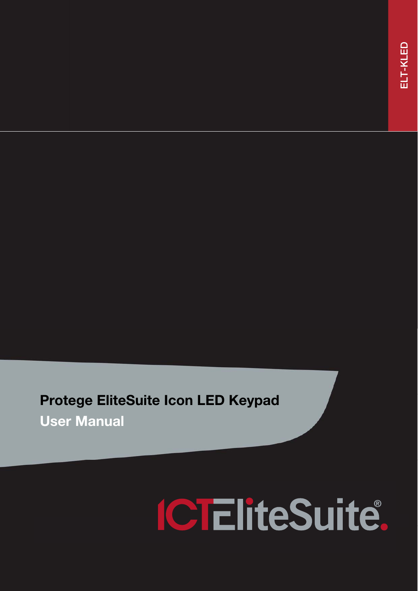# Protege EliteSuite Icon LED Keypad

User Manual

# **ICTEliteSuite.**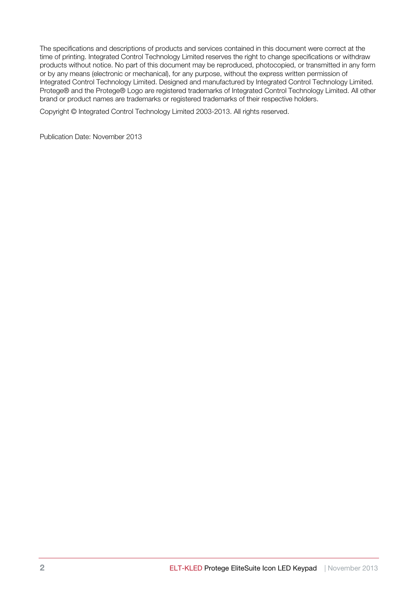The specifications and descriptions of products and services contained in this document were correct at the time of printing. Integrated Control Technology Limited reserves the right to change specifications or withdraw products without notice. No part of this document may be reproduced, photocopied, or transmitted in any form or by any means (electronic or mechanical), for any purpose, without the express written permission of Integrated Control Technology Limited. Designed and manufactured by Integrated Control Technology Limited. Protege® and the Protege® Logo are registered trademarks of Integrated Control Technology Limited. All other brand or product names are trademarks or registered trademarks of their respective holders.

Copyright © Integrated Control Technology Limited 2003-2013. All rights reserved.

Publication Date: November 2013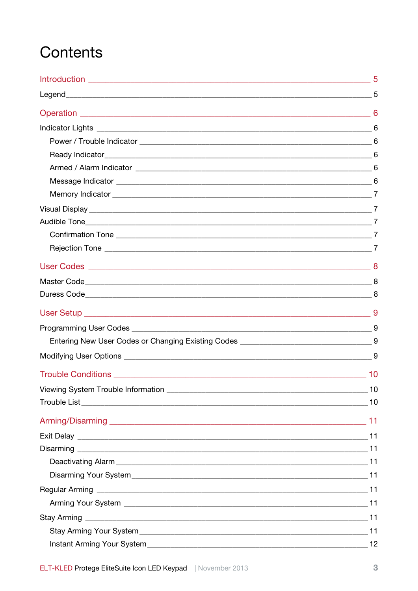# Contents

| 10 |
|----|
|    |
|    |
|    |
|    |
|    |
|    |
|    |
|    |
|    |
|    |
|    |
|    |
|    |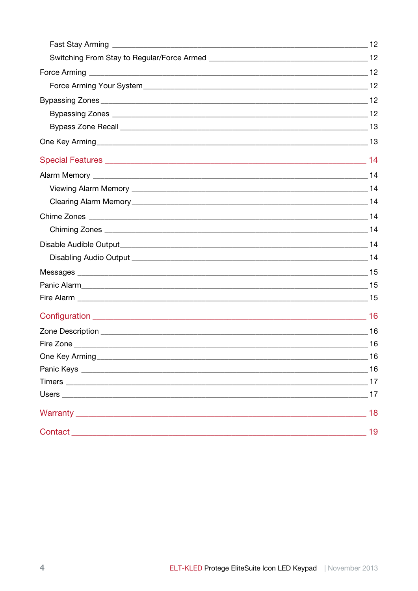|         | 16 |
|---------|----|
|         | 17 |
|         | 17 |
|         | 18 |
| Contact | 19 |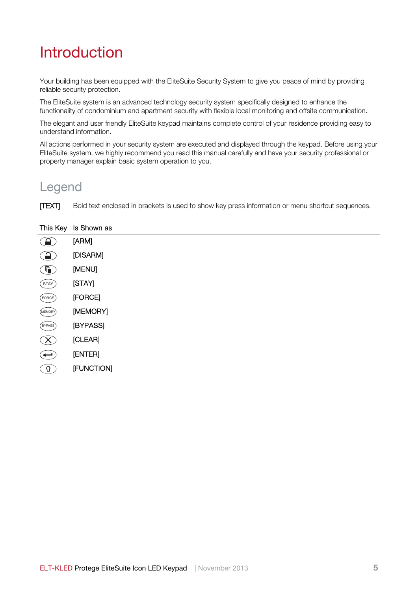# Introduction

Your building has been equipped with the EliteSuite Security System to give you peace of mind by providing reliable security protection.

The EliteSuite system is an advanced technology security system specifically designed to enhance the functionality of condominium and apartment security with flexible local monitoring and offsite communication.

The elegant and user friendly EliteSuite keypad maintains complete control of your residence providing easy to understand information.

All actions performed in your security system are executed and displayed through the keypad. Before using your EliteSuite system, we highly recommend you read this manual carefully and have your security professional or property manager explain basic system operation to you.

#### Legend

[TEXT] Bold text enclosed in brackets is used to show key press information or menu shortcut sequences.

#### This Key Is Shown as

|               | [ARM]          |
|---------------|----------------|
|               | [DISARM]       |
|               | [MENU]         |
| STAY          | [STAY]         |
| FORCE         | [FORCE]        |
| MEMORY)       | [MEMORY]       |
| <b>BYPASS</b> | [BYPASS]       |
|               | [CLEAR]        |
|               | <b>[ENTER]</b> |
|               |                |

[FUNCTION] $\mathcal{O}$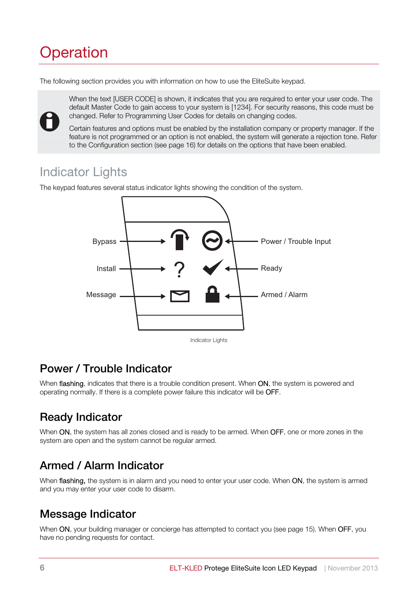# **Operation**

The following section provides you with information on how to use the EliteSuite keypad.



When the text [USER CODE] is shown, it indicates that you are required to enter your user code. The default Master Code to gain access to your system is [1234]. For security reasons, this code must be changed. Refer to Programming User Codes for details on changing codes.

Certain features and options must be enabled by the installation company or property manager. If the feature is not programmed or an option is not enabled, the system will generate a rejection tone. Refer to the Configuration section (see page 16) for details on the options that have been enabled.

## Indicator Lights

The keypad features several status indicator lights showing the condition of the system.



#### Power / Trouble Indicator

When flashing, indicates that there is a trouble condition present. When ON, the system is powered and operating normally. If there is a complete power failure this indicator will be OFF.

## Ready Indicator

When ON, the system has all zones closed and is ready to be armed. When OFF, one or more zones in the system are open and the system cannot be regular armed.

#### Armed / Alarm Indicator

When flashing, the system is in alarm and you need to enter your user code. When ON, the system is armed and you may enter your user code to disarm.

#### Message Indicator

When ON, your building manager or concierge has attempted to contact you (see page 15). When OFF, you have no pending requests for contact.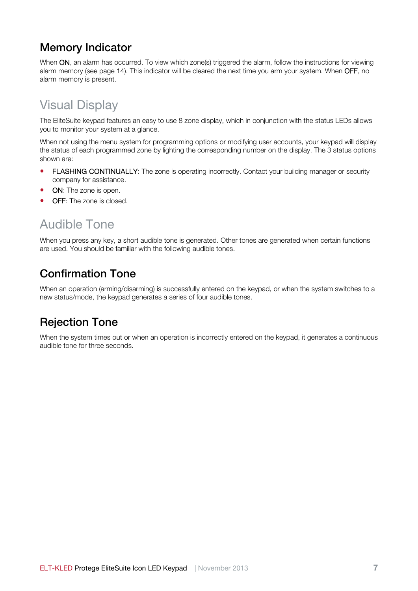#### Memory Indicator

When ON, an alarm has occurred. To view which zone(s) triggered the alarm, follow the instructions for viewing alarm memory (see page 14). This indicator will be cleared the next time you arm your system. When OFF, no alarm memory is present.

## Visual Display

The EliteSuite keypad features an easy to use 8 zone display, which in conjunction with the status LEDs allows you to monitor your system at a glance.

When not using the menu system for programming options or modifying user accounts, your keypad will display the status of each programmed zone by lighting the corresponding number on the display. The 3 status options shown are:

- FLASHING CONTINUALLY: The zone is operating incorrectly. Contact your building manager or security company for assistance.
- ON: The zone is open.
- **OFF:** The zone is closed.

## Audible Tone

When you press any key, a short audible tone is generated. Other tones are generated when certain functions are used. You should be familiar with the following audible tones.

#### Confirmation Tone

When an operation (arming/disarming) is successfully entered on the keypad, or when the system switches to a new status/mode, the keypad generates a series of four audible tones.

#### Rejection Tone

When the system times out or when an operation is incorrectly entered on the keypad, it generates a continuous audible tone for three seconds.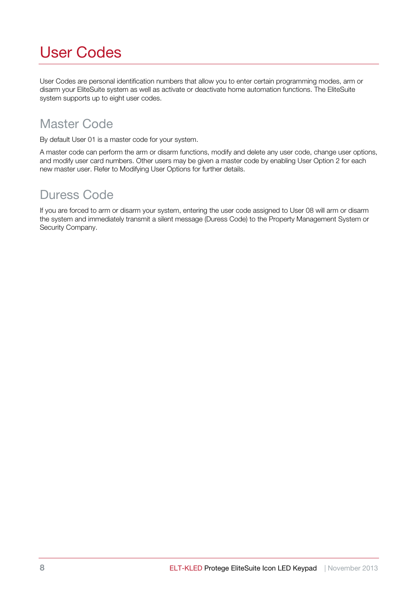# User Codes

User Codes are personal identification numbers that allow you to enter certain programming modes, arm or disarm your EliteSuite system as well as activate or deactivate home automation functions. The EliteSuite system supports up to eight user codes.

## Master Code

By default User 01 is a master code for your system.

A master code can perform the arm or disarm functions, modify and delete any user code, change user options, and modify user card numbers. Other users may be given a master code by enabling User Option 2 for each new master user. Refer to Modifying User Options for further details.

#### Duress Code

If you are forced to arm or disarm your system, entering the user code assigned to User 08 will arm or disarm the system and immediately transmit a silent message (Duress Code) to the Property Management System or Security Company.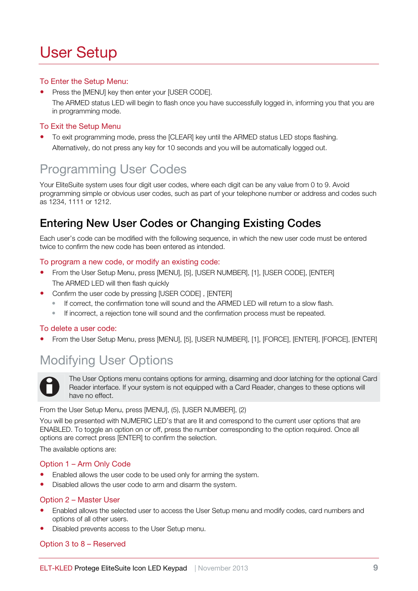# User Setup

#### To Enter the Setup Menu:

• Press the [MENU] key then enter your [USER CODE]. The ARMED status LED will begin to flash once you have successfully logged in, informing you that you are in programming mode.

#### To Exit the Setup Menu

 To exit programming mode, press the [CLEAR] key until the ARMED status LED stops flashing. Alternatively, do not press any key for 10 seconds and you will be automatically logged out.

## Programming User Codes

Your EliteSuite system uses four digit user codes, where each digit can be any value from 0 to 9. Avoid programming simple or obvious user codes, such as part of your telephone number or address and codes such as 1234, 1111 or 1212.

#### Entering New User Codes or Changing Existing Codes

Each user's code can be modified with the following sequence, in which the new user code must be entered twice to confirm the new code has been entered as intended.

#### To program a new code, or modify an existing code:

- From the User Setup Menu, press [MENU], [5], [USER NUMBER], [1], [USER CODE], [ENTER] The ARMED LED will then flash quickly
- Confirm the user code by pressing [USER CODE] , [ENTER]
	- If correct, the confirmation tone will sound and the ARMED LED will return to a slow flash.
	- If incorrect, a rejection tone will sound and the confirmation process must be repeated.

#### To delete a user code:

From the User Setup Menu, press [MENU], [5], [USER NUMBER], [1], [FORCE], [ENTER], [FORCE], [ENTER]

## Modifying User Options



The User Options menu contains options for arming, disarming and door latching for the optional Card Reader interface. If your system is not equipped with a Card Reader, changes to these options will have no effect.

From the User Setup Menu, press [MENU], (5), [USER NUMBER], (2)

You will be presented with NUMERIC LED's that are lit and correspond to the current user options that are ENABLED. To toggle an option on or off, press the number corresponding to the option required. Once all options are correct press [ENTER] to confirm the selection.

The available options are:

#### Option 1 – Arm Only Code

- Enabled allows the user code to be used only for arming the system.
- Disabled allows the user code to arm and disarm the system.

#### Option 2 – Master User

- Enabled allows the selected user to access the User Setup menu and modify codes, card numbers and options of all other users.
- Disabled prevents access to the User Setup menu.

#### Option 3 to 8 – Reserved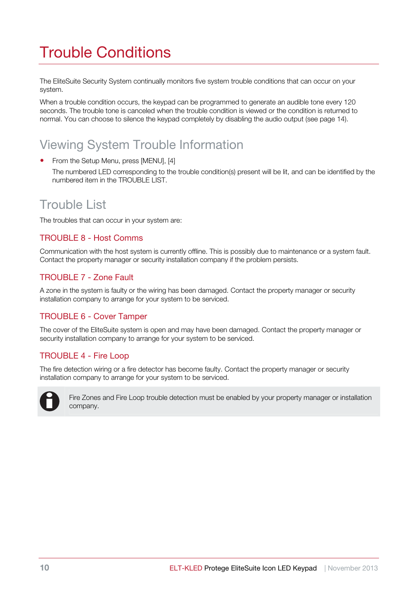# Trouble Conditions

The EliteSuite Security System continually monitors five system trouble conditions that can occur on your system.

When a trouble condition occurs, the keypad can be programmed to generate an audible tone every 120 seconds. The trouble tone is canceled when the trouble condition is viewed or the condition is returned to normal. You can choose to silence the keypad completely by disabling the audio output (see page 14).

## Viewing System Trouble Information

- From the Setup Menu, press [MENU], [4]
	- The numbered LED corresponding to the trouble condition(s) present will be lit, and can be identified by the numbered item in the TROUBLE LIST.

#### Trouble List

The troubles that can occur in your system are:

#### TROUBLE 8 - Host Comms

Communication with the host system is currently offline. This is possibly due to maintenance or a system fault. Contact the property manager or security installation company if the problem persists.

#### TROUBLE 7 - Zone Fault

A zone in the system is faulty or the wiring has been damaged. Contact the property manager or security installation company to arrange for your system to be serviced.

#### TROUBLE 6 - Cover Tamper

The cover of the EliteSuite system is open and may have been damaged. Contact the property manager or security installation company to arrange for your system to be serviced.

#### TROUBLE 4 - Fire Loop

The fire detection wiring or a fire detector has become faulty. Contact the property manager or security installation company to arrange for your system to be serviced.



Fire Zones and Fire Loop trouble detection must be enabled by your property manager or installation company.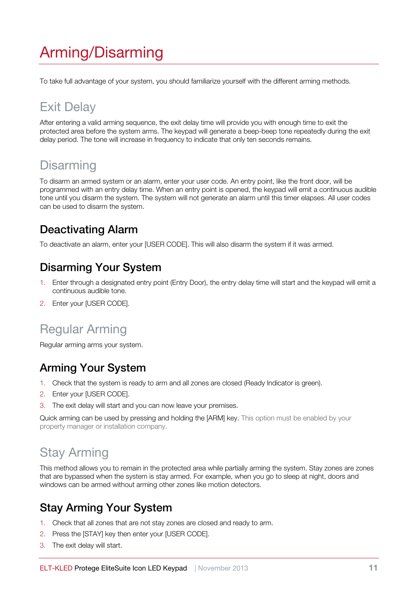# Arming/Disarming

To take full advantage of your system, you should familiarize yourself with the different arming methods.

# Exit Delay

After entering a valid arming sequence, the exit delay time will provide you with enough time to exit the protected area before the system arms. The keypad will generate a beep-beep tone repeatedly during the exit delay period. The tone will increase in frequency to indicate that only ten seconds remains.

## **Disarming**

To disarm an armed system or an alarm, enter your user code. An entry point, like the front door, will be programmed with an entry delay time. When an entry point is opened, the keypad will emit a continuous audible tone until you disarm the system. The system will not generate an alarm until this timer elapses. All user codes can be used to disarm the system.

#### Deactivating Alarm

To deactivate an alarm, enter your [USER CODE]. This will also disarm the system if it was armed.

#### Disarming Your System

- 1. Enter through a designated entry point (Entry Door), the entry delay time will start and the keypad will emit a continuous audible tone.
- 2. Enter your [USER CODE].

## Regular Arming

Regular arming arms your system.

#### Arming Your System

- 1. Check that the system is ready to arm and all zones are closed (Ready Indicator is green).
- 2. Enter your [USER CODE].
- 3. The exit delay will start and you can now leave your premises.

Quick arming can be used by pressing and holding the [ARM] key. This option must be enabled by your property manager or installation company.

## Stay Arming

This method allows you to remain in the protected area while partially arming the system. Stay zones are zones that are bypassed when the system is stay armed. For example, when you go to sleep at night, doors and windows can be armed without arming other zones like motion detectors.

#### Stay Arming Your System

- 1. Check that all zones that are not stay zones are closed and ready to arm.
- 2. Press the [STAY] key then enter your [USER CODE].
- 3. The exit delay will start.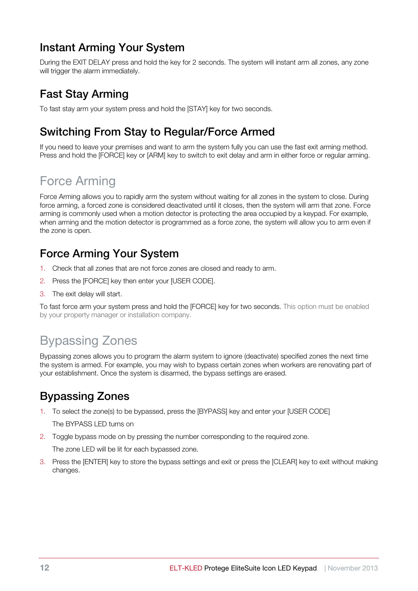#### Instant Arming Your System

During the EXIT DELAY press and hold the key for 2 seconds. The system will instant arm all zones, any zone will trigger the alarm immediately.

#### Fast Stay Arming

To fast stay arm your system press and hold the [STAY] key for two seconds.

#### Switching From Stay to Regular/Force Armed

If you need to leave your premises and want to arm the system fully you can use the fast exit arming method. Press and hold the [FORCE] key or [ARM] key to switch to exit delay and arm in either force or regular arming.

## Force Arming

Force Arming allows you to rapidly arm the system without waiting for all zones in the system to close. During force arming, a forced zone is considered deactivated until it closes, then the system will arm that zone. Force arming is commonly used when a motion detector is protecting the area occupied by a keypad. For example, when arming and the motion detector is programmed as a force zone, the system will allow you to arm even if the zone is open.

#### Force Arming Your System

- 1. Check that all zones that are not force zones are closed and ready to arm.
- 2. Press the [FORCE] key then enter your [USER CODE].
- 3. The exit delay will start.

To fast force arm your system press and hold the [FORCE] key for two seconds. This option must be enabled by your property manager or installation company.

## Bypassing Zones

Bypassing zones allows you to program the alarm system to ignore (deactivate) specified zones the next time the system is armed. For example, you may wish to bypass certain zones when workers are renovating part of your establishment. Once the system is disarmed, the bypass settings are erased.

#### Bypassing Zones

1. To select the zone(s) to be bypassed, press the [BYPASS] key and enter your [USER CODE]

The BYPASS LED turns on

2. Toggle bypass mode on by pressing the number corresponding to the required zone.

The zone LED will be lit for each bypassed zone.

3. Press the [ENTER] key to store the bypass settings and exit or press the [CLEAR] key to exit without making changes.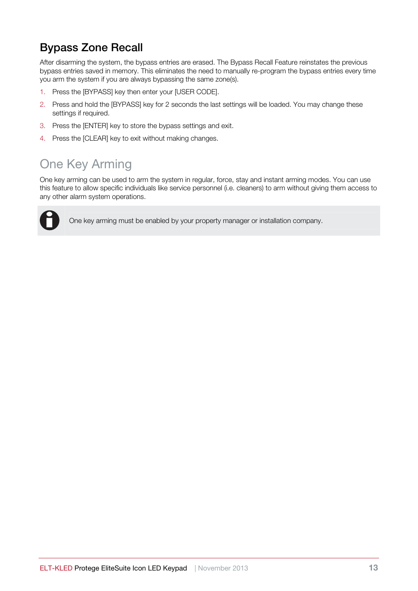#### Bypass Zone Recall

After disarming the system, the bypass entries are erased. The Bypass Recall Feature reinstates the previous bypass entries saved in memory. This eliminates the need to manually re-program the bypass entries every time you arm the system if you are always bypassing the same zone(s).

- 1. Press the [BYPASS] key then enter your [USER CODE].
- 2. Press and hold the [BYPASS] key for 2 seconds the last settings will be loaded. You may change these settings if required.
- 3. Press the [ENTER] key to store the bypass settings and exit.
- 4. Press the [CLEAR] key to exit without making changes.

## One Key Arming

One key arming can be used to arm the system in regular, force, stay and instant arming modes. You can use this feature to allow specific individuals like service personnel (i.e. cleaners) to arm without giving them access to any other alarm system operations.



i One key arming must be enabled by your property manager or installation company.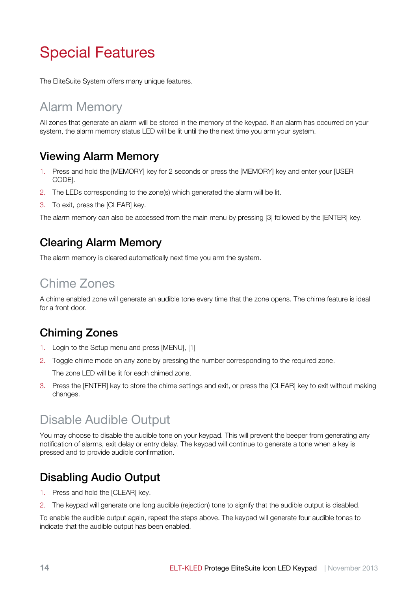# Special Features

The EliteSuite System offers many unique features.

## Alarm Memory

All zones that generate an alarm will be stored in the memory of the keypad. If an alarm has occurred on your system, the alarm memory status LED will be lit until the the next time you arm your system.

#### Viewing Alarm Memory

- 1. Press and hold the [MEMORY] key for 2 seconds or press the [MEMORY] key and enter your [USER CODE].
- 2. The LEDs corresponding to the zone(s) which generated the alarm will be lit.
- 3. To exit, press the [CLEAR] key.

The alarm memory can also be accessed from the main menu by pressing [3] followed by the [ENTER] key.

#### Clearing Alarm Memory

The alarm memory is cleared automatically next time you arm the system.

## Chime Zones

A chime enabled zone will generate an audible tone every time that the zone opens. The chime feature is ideal for a front door.

#### Chiming Zones

- 1. Login to the Setup menu and press [MENU], [1]
- 2. Toggle chime mode on any zone by pressing the number corresponding to the required zone. The zone LED will be lit for each chimed zone.
- 3. Press the [ENTER] key to store the chime settings and exit, or press the [CLEAR] key to exit without making changes.

## Disable Audible Output

You may choose to disable the audible tone on your keypad. This will prevent the beeper from generating any notification of alarms, exit delay or entry delay. The keypad will continue to generate a tone when a key is pressed and to provide audible confirmation.

#### Disabling Audio Output

- 1. Press and hold the [CLEAR] key.
- 2. The keypad will generate one long audible (rejection) tone to signify that the audible output is disabled.

To enable the audible output again, repeat the steps above. The keypad will generate four audible tones to indicate that the audible output has been enabled.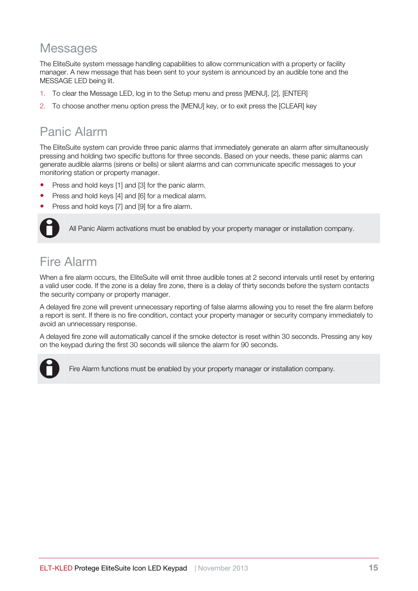#### **Messages**

The EliteSuite system message handling capabilities to allow communication with a property or facility manager. A new message that has been sent to your system is announced by an audible tone and the MESSAGE LED being lit.

- 1. To clear the Message LED, log in to the Setup menu and press [MENU], [2], [ENTER]
- 2. To choose another menu option press the [MENU] key, or to exit press the [CLEAR] key

## Panic Alarm

The EliteSuite system can provide three panic alarms that immediately generate an alarm after simultaneously pressing and holding two specific buttons for three seconds. Based on your needs, these panic alarms can generate audible alarms (sirens or bells) or silent alarms and can communicate specific messages to your monitoring station or property manager.

- Press and hold keys [1] and [3] for the panic alarm.
- Press and hold keys [4] and [6] for a medical alarm.
- Press and hold keys [7] and [9] for a fire alarm.



All Panic Alarm activations must be enabled by your property manager or installation company.

## Fire Alarm

When a fire alarm occurs, the EliteSuite will emit three audible tones at 2 second intervals until reset by entering a valid user code. If the zone is a delay fire zone, there is a delay of thirty seconds before the system contacts the security company or property manager.

A delayed fire zone will prevent unnecessary reporting of false alarms allowing you to reset the fire alarm before a report is sent. If there is no fire condition, contact your property manager or security company immediately to avoid an unnecessary response.

A delayed fire zone will automatically cancel if the smoke detector is reset within 30 seconds. Pressing any key on the keypad during the first 30 seconds will silence the alarm for 90 seconds.



Fire Alarm functions must be enabled by your property manager or installation company.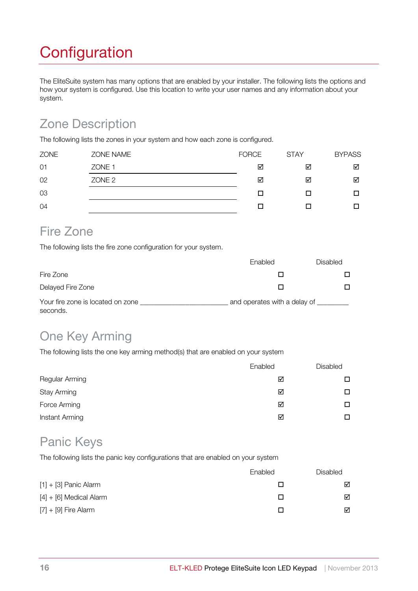# **Configuration**

The EliteSuite system has many options that are enabled by your installer. The following lists the options and how your system is configured. Use this location to write your user names and any information about your system.

## Zone Description

The following lists the zones in your system and how each zone is configured.

| <b>ZONE</b> | ZONE NAME         | <b>FORCE</b> | <b>STAY</b> | <b>BYPASS</b> |
|-------------|-------------------|--------------|-------------|---------------|
| 01          | ZONE <sub>1</sub> | ☑            | ☑           | ☑             |
| 02          | ZONE <sub>2</sub> | ☑            | ☑           | ☑             |
| 03          |                   | П            | П           | □             |
| 04          |                   |              |             | □             |

#### Fire Zone

The following lists the fire zone configuration for your system.

|                                               | Enabled | Disabled                     |  |
|-----------------------------------------------|---------|------------------------------|--|
| Fire Zone                                     |         |                              |  |
| Delayed Fire Zone                             |         |                              |  |
| Your fire zone is located on zone<br>seconds. |         | and operates with a delay of |  |

## One Key Arming

The following lists the one key arming method(s) that are enabled on your system

|                    | Enabled | Disabled |
|--------------------|---------|----------|
| Regular Arming     | ☑       | п        |
| <b>Stay Arming</b> | ☑       | П        |
| Force Arming       | ☑       | ◻        |
| Instant Arming     | ⊠       | п        |

#### Panic Keys

The following lists the panic key configurations that are enabled on your system

|                           | Enabled | <b>Disabled</b> |
|---------------------------|---------|-----------------|
| $[1] + [3]$ Panic Alarm   |         | ☑               |
| $[4] + [6]$ Medical Alarm |         | ☑               |
| $[7] + [9]$ Fire Alarm    |         | ☑               |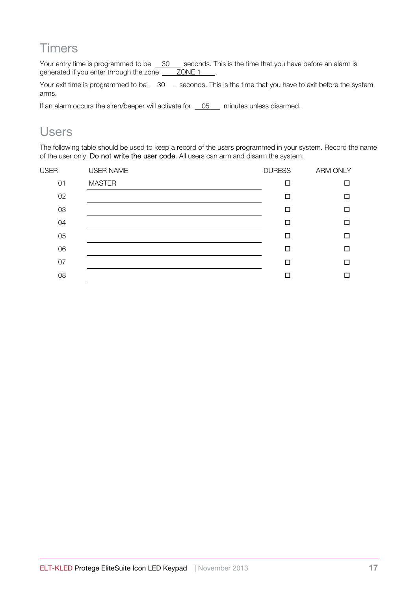#### **Timers**

Your entry time is programmed to be 30 seconds. This is the time that you have before an alarm is generated if you enter through the zone ZONE 1 .

Your exit time is programmed to be  $\frac{30}{100}$  seconds. This is the time that you have to exit before the system arms.

If an alarm occurs the siren/beeper will activate for  $\overline{\phantom{0}05}$  minutes unless disarmed.

#### Users

The following table should be used to keep a record of the users programmed in your system. Record the name of the user only. Do not write the user code. All users can arm and disarm the system.

| <b>USER</b> | <b>USER NAME</b> | <b>DURESS</b> | ARM ONLY |
|-------------|------------------|---------------|----------|
| 01          | <b>MASTER</b>    | П             | $\Box$   |
| 02          |                  | □             | $\Box$   |
| 03          |                  | п             | □        |
| 04          |                  | п             | □        |
| 05          |                  | П             | □        |
| 06          |                  | п             | □        |
| 07          |                  | п             | □        |
| 08          |                  |               | □        |
|             |                  |               |          |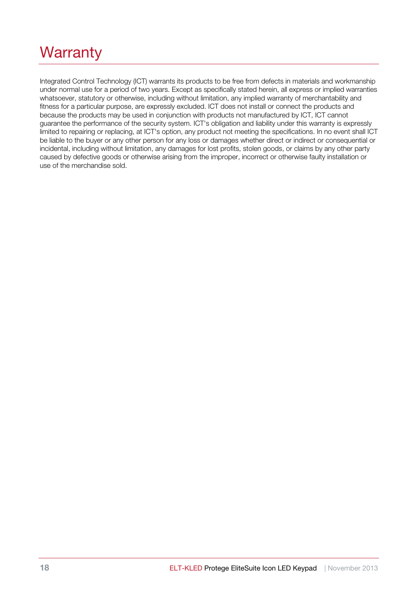# **Warranty**

Integrated Control Technology (ICT) warrants its products to be free from defects in materials and workmanship under normal use for a period of two years. Except as specifically stated herein, all express or implied warranties whatsoever, statutory or otherwise, including without limitation, any implied warranty of merchantability and fitness for a particular purpose, are expressly excluded. ICT does not install or connect the products and because the products may be used in conjunction with products not manufactured by ICT, ICT cannot guarantee the performance of the security system. ICT's obligation and liability under this warranty is expressly limited to repairing or replacing, at ICT's option, any product not meeting the specifications. In no event shall ICT be liable to the buyer or any other person for any loss or damages whether direct or indirect or consequential or incidental, including without limitation, any damages for lost profits, stolen goods, or claims by any other party caused by defective goods or otherwise arising from the improper, incorrect or otherwise faulty installation or use of the merchandise sold.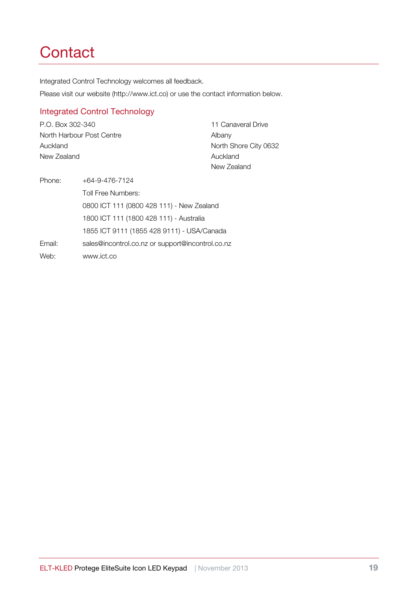# **Contact**

Integrated Control Technology welcomes all feedback.

Please visit our website (http://www.ict.co) or use the contact information below.

#### Integrated Control Technology

P.O. Box 302-340 North Harbour Post Centre Auckland New Zealand

11 Canaveral Drive Albany North Shore City 0632 Auckland New Zealand

Phone: +64-9-476-7124 Toll Free Numbers: 0800 ICT 111 (0800 428 111) - New Zealand 1800 ICT 111 (1800 428 111) - Australia 1855 ICT 9111 (1855 428 9111) - USA/Canada Email: sales@incontrol.co.nz or support@incontrol.co.nz Web: www.ict.co